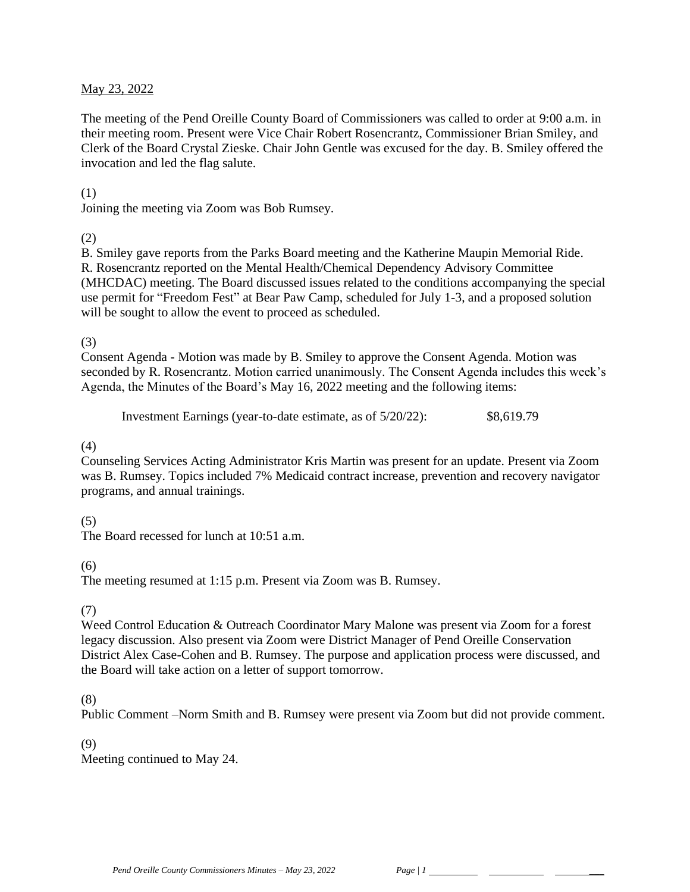### May 23, 2022

The meeting of the Pend Oreille County Board of Commissioners was called to order at 9:00 a.m. in their meeting room. Present were Vice Chair Robert Rosencrantz, Commissioner Brian Smiley, and Clerk of the Board Crystal Zieske. Chair John Gentle was excused for the day. B. Smiley offered the invocation and led the flag salute.

#### (1)

Joining the meeting via Zoom was Bob Rumsey.

(2)

B. Smiley gave reports from the Parks Board meeting and the Katherine Maupin Memorial Ride. R. Rosencrantz reported on the Mental Health/Chemical Dependency Advisory Committee (MHCDAC) meeting. The Board discussed issues related to the conditions accompanying the special use permit for "Freedom Fest" at Bear Paw Camp, scheduled for July 1-3, and a proposed solution will be sought to allow the event to proceed as scheduled.

#### (3)

Consent Agenda - Motion was made by B. Smiley to approve the Consent Agenda. Motion was seconded by R. Rosencrantz. Motion carried unanimously. The Consent Agenda includes this week's Agenda, the Minutes of the Board's May 16, 2022 meeting and the following items:

Investment Earnings (year-to-date estimate, as of 5/20/22): \$8,619.79

### (4)

Counseling Services Acting Administrator Kris Martin was present for an update. Present via Zoom was B. Rumsey. Topics included 7% Medicaid contract increase, prevention and recovery navigator programs, and annual trainings.

# (5)

The Board recessed for lunch at  $10.51$  a.m.

# (6)

The meeting resumed at 1:15 p.m. Present via Zoom was B. Rumsey.

# (7)

Weed Control Education & Outreach Coordinator Mary Malone was present via Zoom for a forest legacy discussion. Also present via Zoom were District Manager of Pend Oreille Conservation District Alex Case-Cohen and B. Rumsey. The purpose and application process were discussed, and the Board will take action on a letter of support tomorrow.

# (8)

Public Comment –Norm Smith and B. Rumsey were present via Zoom but did not provide comment.

### (9)

Meeting continued to May 24.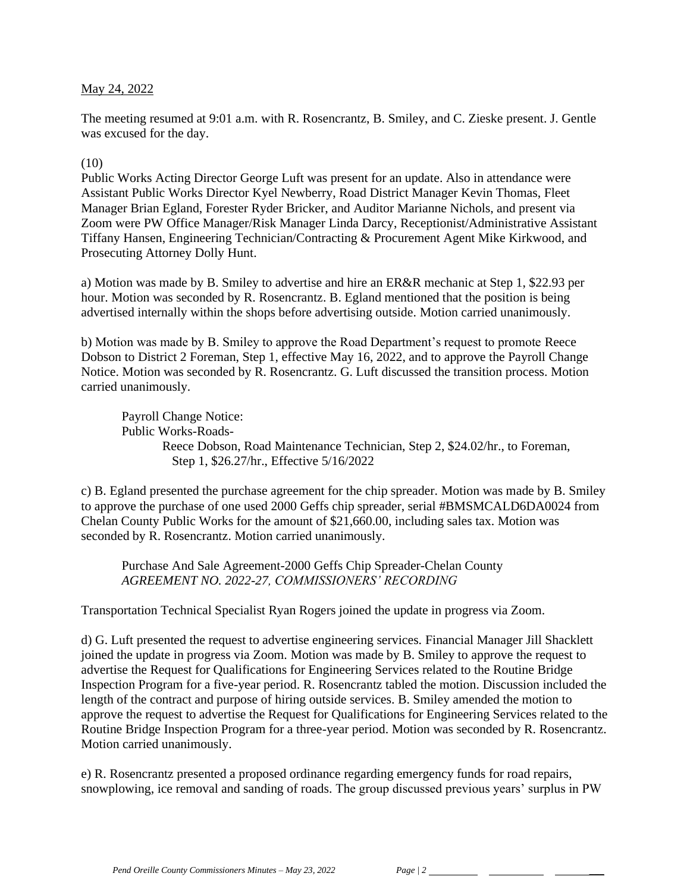### May 24, 2022

The meeting resumed at 9:01 a.m. with R. Rosencrantz, B. Smiley, and C. Zieske present. J. Gentle was excused for the day.

#### $(10)$

Public Works Acting Director George Luft was present for an update. Also in attendance were Assistant Public Works Director Kyel Newberry, Road District Manager Kevin Thomas, Fleet Manager Brian Egland, Forester Ryder Bricker, and Auditor Marianne Nichols, and present via Zoom were PW Office Manager/Risk Manager Linda Darcy, Receptionist/Administrative Assistant Tiffany Hansen, Engineering Technician/Contracting & Procurement Agent Mike Kirkwood, and Prosecuting Attorney Dolly Hunt.

a) Motion was made by B. Smiley to advertise and hire an ER&R mechanic at Step 1, \$22.93 per hour. Motion was seconded by R. Rosencrantz. B. Egland mentioned that the position is being advertised internally within the shops before advertising outside. Motion carried unanimously.

b) Motion was made by B. Smiley to approve the Road Department's request to promote Reece Dobson to District 2 Foreman, Step 1, effective May 16, 2022, and to approve the Payroll Change Notice. Motion was seconded by R. Rosencrantz. G. Luft discussed the transition process. Motion carried unanimously.

Payroll Change Notice: Public Works-Roads-Reece Dobson, Road Maintenance Technician, Step 2, \$24.02/hr., to Foreman, Step 1, \$26.27/hr., Effective 5/16/2022

c) B. Egland presented the purchase agreement for the chip spreader. Motion was made by B. Smiley to approve the purchase of one used 2000 Geffs chip spreader, serial #BMSMCALD6DA0024 from Chelan County Public Works for the amount of \$21,660.00, including sales tax. Motion was seconded by R. Rosencrantz. Motion carried unanimously.

Purchase And Sale Agreement-2000 Geffs Chip Spreader-Chelan County *AGREEMENT NO. 2022-27, COMMISSIONERS' RECORDING*

Transportation Technical Specialist Ryan Rogers joined the update in progress via Zoom.

d) G. Luft presented the request to advertise engineering services. Financial Manager Jill Shacklett joined the update in progress via Zoom. Motion was made by B. Smiley to approve the request to advertise the Request for Qualifications for Engineering Services related to the Routine Bridge Inspection Program for a five-year period. R. Rosencrantz tabled the motion. Discussion included the length of the contract and purpose of hiring outside services. B. Smiley amended the motion to approve the request to advertise the Request for Qualifications for Engineering Services related to the Routine Bridge Inspection Program for a three-year period. Motion was seconded by R. Rosencrantz. Motion carried unanimously.

e) R. Rosencrantz presented a proposed ordinance regarding emergency funds for road repairs, snowplowing, ice removal and sanding of roads. The group discussed previous years' surplus in PW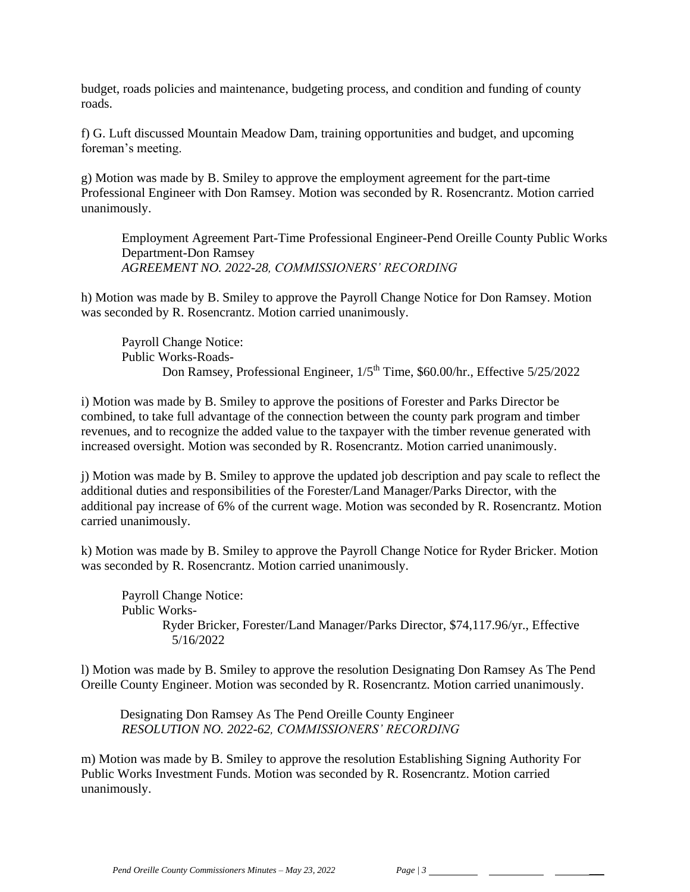budget, roads policies and maintenance, budgeting process, and condition and funding of county roads.

f) G. Luft discussed Mountain Meadow Dam, training opportunities and budget, and upcoming foreman's meeting.

g) Motion was made by B. Smiley to approve the employment agreement for the part-time Professional Engineer with Don Ramsey. Motion was seconded by R. Rosencrantz. Motion carried unanimously.

Employment Agreement Part-Time Professional Engineer-Pend Oreille County Public Works Department-Don Ramsey *AGREEMENT NO. 2022-28, COMMISSIONERS' RECORDING*

h) Motion was made by B. Smiley to approve the Payroll Change Notice for Don Ramsey. Motion was seconded by R. Rosencrantz. Motion carried unanimously.

Payroll Change Notice: Public Works-Roads-Don Ramsey, Professional Engineer,  $1/5<sup>th</sup>$  Time, \$60.00/hr., Effective 5/25/2022

i) Motion was made by B. Smiley to approve the positions of Forester and Parks Director be combined, to take full advantage of the connection between the county park program and timber revenues, and to recognize the added value to the taxpayer with the timber revenue generated with increased oversight. Motion was seconded by R. Rosencrantz. Motion carried unanimously.

j) Motion was made by B. Smiley to approve the updated job description and pay scale to reflect the additional duties and responsibilities of the Forester/Land Manager/Parks Director, with the additional pay increase of 6% of the current wage. Motion was seconded by R. Rosencrantz. Motion carried unanimously.

k) Motion was made by B. Smiley to approve the Payroll Change Notice for Ryder Bricker. Motion was seconded by R. Rosencrantz. Motion carried unanimously.

Payroll Change Notice: Public Works-Ryder Bricker, Forester/Land Manager/Parks Director, \$74,117.96/yr., Effective 5/16/2022

l) Motion was made by B. Smiley to approve the resolution Designating Don Ramsey As The Pend Oreille County Engineer. Motion was seconded by R. Rosencrantz. Motion carried unanimously.

 Designating Don Ramsey As The Pend Oreille County Engineer *RESOLUTION NO. 2022-62, COMMISSIONERS' RECORDING*

m) Motion was made by B. Smiley to approve the resolution Establishing Signing Authority For Public Works Investment Funds. Motion was seconded by R. Rosencrantz. Motion carried unanimously.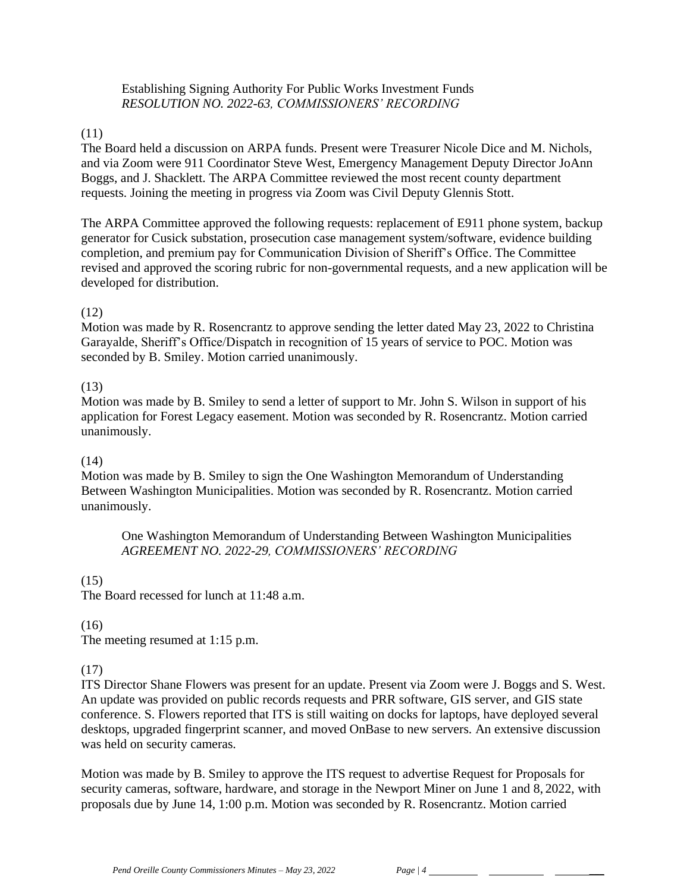# Establishing Signing Authority For Public Works Investment Funds *RESOLUTION NO. 2022-63, COMMISSIONERS' RECORDING*

# (11)

The Board held a discussion on ARPA funds. Present were Treasurer Nicole Dice and M. Nichols, and via Zoom were 911 Coordinator Steve West, Emergency Management Deputy Director JoAnn Boggs, and J. Shacklett. The ARPA Committee reviewed the most recent county department requests. Joining the meeting in progress via Zoom was Civil Deputy Glennis Stott.

The ARPA Committee approved the following requests: replacement of E911 phone system, backup generator for Cusick substation, prosecution case management system/software, evidence building completion, and premium pay for Communication Division of Sheriff's Office. The Committee revised and approved the scoring rubric for non-governmental requests, and a new application will be developed for distribution.

# (12)

Motion was made by R. Rosencrantz to approve sending the letter dated May 23, 2022 to Christina Garayalde, Sheriff's Office/Dispatch in recognition of 15 years of service to POC. Motion was seconded by B. Smiley. Motion carried unanimously.

# (13)

Motion was made by B. Smiley to send a letter of support to Mr. John S. Wilson in support of his application for Forest Legacy easement. Motion was seconded by R. Rosencrantz. Motion carried unanimously.

# (14)

Motion was made by B. Smiley to sign the One Washington Memorandum of Understanding Between Washington Municipalities. Motion was seconded by R. Rosencrantz. Motion carried unanimously.

One Washington Memorandum of Understanding Between Washington Municipalities *AGREEMENT NO. 2022-29, COMMISSIONERS' RECORDING*

# $(15)$

The Board recessed for lunch at 11:48 a.m.

# (16)

The meeting resumed at 1:15 p.m.

# (17)

ITS Director Shane Flowers was present for an update. Present via Zoom were J. Boggs and S. West. An update was provided on public records requests and PRR software, GIS server, and GIS state conference. S. Flowers reported that ITS is still waiting on docks for laptops, have deployed several desktops, upgraded fingerprint scanner, and moved OnBase to new servers. An extensive discussion was held on security cameras.

Motion was made by B. Smiley to approve the ITS request to advertise Request for Proposals for security cameras, software, hardware, and storage in the Newport Miner on June 1 and 8, 2022, with proposals due by June 14, 1:00 p.m. Motion was seconded by R. Rosencrantz. Motion carried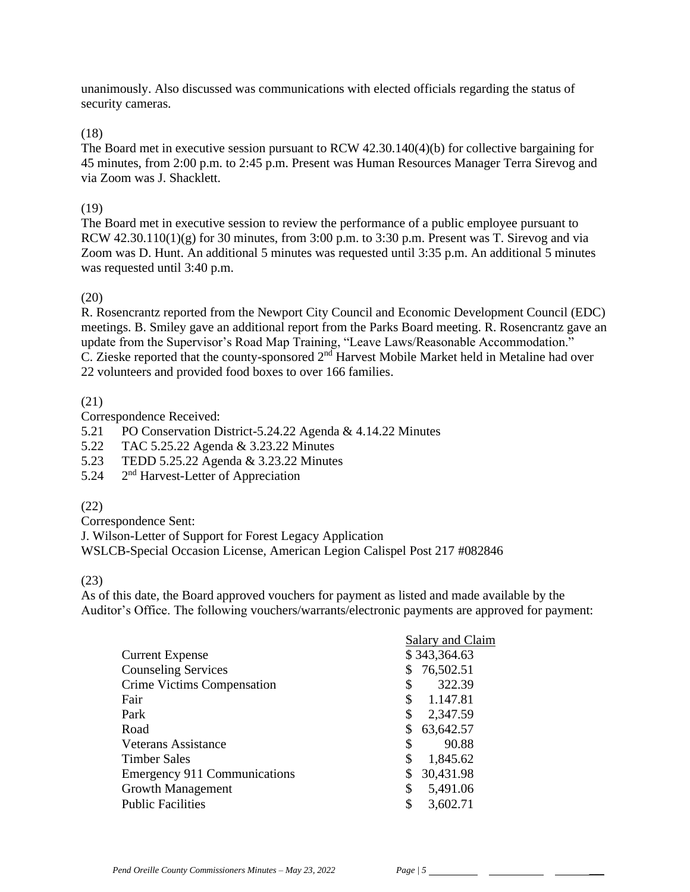unanimously. Also discussed was communications with elected officials regarding the status of security cameras.

# (18)

The Board met in executive session pursuant to RCW 42.30.140(4)(b) for collective bargaining for 45 minutes, from 2:00 p.m. to 2:45 p.m. Present was Human Resources Manager Terra Sirevog and via Zoom was J. Shacklett.

### (19)

The Board met in executive session to review the performance of a public employee pursuant to RCW  $42.30.110(1)(g)$  for 30 minutes, from 3:00 p.m. to 3:30 p.m. Present was T. Sirevog and via Zoom was D. Hunt. An additional 5 minutes was requested until 3:35 p.m. An additional 5 minutes was requested until 3:40 p.m.

### (20)

R. Rosencrantz reported from the Newport City Council and Economic Development Council (EDC) meetings. B. Smiley gave an additional report from the Parks Board meeting. R. Rosencrantz gave an update from the Supervisor's Road Map Training, "Leave Laws/Reasonable Accommodation."  $\overline{C}$ . Zieske reported that the county-sponsored  $2<sup>nd</sup>$  Harvest Mobile Market held in Metaline had over 22 volunteers and provided food boxes to over 166 families.

# (21)

Correspondence Received:

5.21 PO Conservation District-5.24.22 Agenda & 4.14.22 Minutes

- 5.22 TAC 5.25.22 Agenda & 3.23.22 Minutes
- 5.23 TEDD 5.25.22 Agenda & 3.23.22 Minutes
- 5.24 2<sup>nd</sup> Harvest-Letter of Appreciation

# (22)

Correspondence Sent:

J. Wilson-Letter of Support for Forest Legacy Application WSLCB-Special Occasion License, American Legion Calispel Post 217 #082846

#### (23)

As of this date, the Board approved vouchers for payment as listed and made available by the Auditor's Office. The following vouchers/warrants/electronic payments are approved for payment:

|                                     | Salary and Claim |              |  |
|-------------------------------------|------------------|--------------|--|
| <b>Current Expense</b>              |                  | \$343,364.63 |  |
| <b>Counseling Services</b>          | \$               | 76,502.51    |  |
| Crime Victims Compensation          | \$               | 322.39       |  |
| Fair                                | \$               | 1.147.81     |  |
| Park                                | \$               | 2,347.59     |  |
| Road                                | \$               | 63,642.57    |  |
| Veterans Assistance                 | \$               | 90.88        |  |
| <b>Timber Sales</b>                 | \$               | 1,845.62     |  |
| <b>Emergency 911 Communications</b> | \$               | 30,431.98    |  |
| <b>Growth Management</b>            | \$               | 5,491.06     |  |
| <b>Public Facilities</b>            | \$               | 3,602.71     |  |
|                                     |                  |              |  |